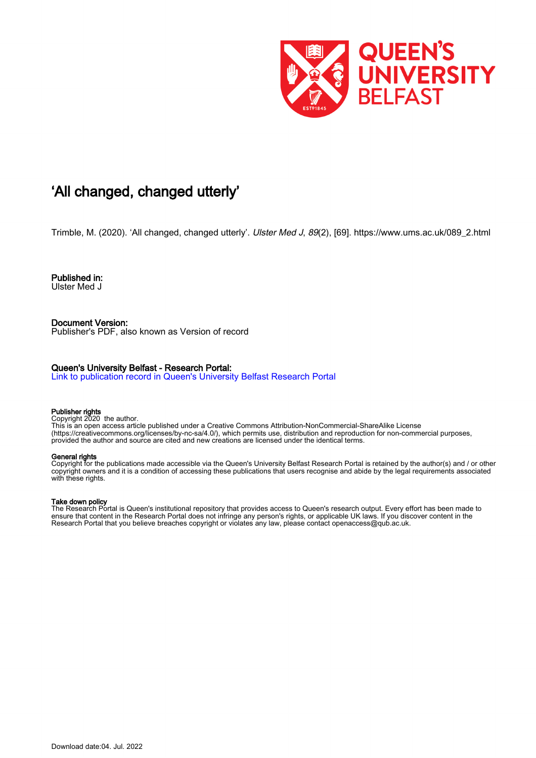

## 'All changed, changed utterly'

Trimble, M. (2020). 'All changed, changed utterly'. Ulster Med J, 89(2), [69]. [https://www.ums.ac.uk/089\\_2.html](https://www.ums.ac.uk/089_2.html)

Published in: Ulster Med J

Document Version: Publisher's PDF, also known as Version of record

#### Queen's University Belfast - Research Portal:

[Link to publication record in Queen's University Belfast Research Portal](https://pure.qub.ac.uk/en/publications/c59fc182-9ebd-412a-9b84-1dd8071c62e9)

#### Publisher rights

Copyright 2020 the author.

This is an open access article published under a Creative Commons Attribution-NonCommercial-ShareAlike License (https://creativecommons.org/licenses/by-nc-sa/4.0/), which permits use, distribution and reproduction for non-commercial purposes, provided the author and source are cited and new creations are licensed under the identical terms.

#### General rights

Copyright for the publications made accessible via the Queen's University Belfast Research Portal is retained by the author(s) and / or other copyright owners and it is a condition of accessing these publications that users recognise and abide by the legal requirements associated with these rights.

#### Take down policy

The Research Portal is Queen's institutional repository that provides access to Queen's research output. Every effort has been made to ensure that content in the Research Portal does not infringe any person's rights, or applicable UK laws. If you discover content in the Research Portal that you believe breaches copyright or violates any law, please contact openaccess@qub.ac.uk.